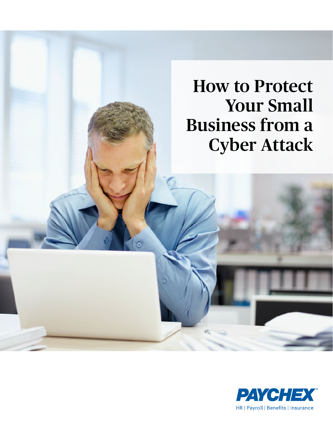## How to Protect Your Small Business from a Cyber Attack

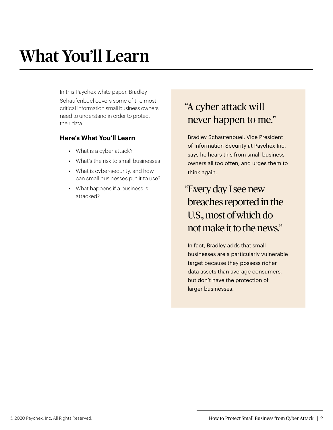# What You'll Learn

In this Paychex white paper, Bradley Schaufenbuel covers some of the most critical information small business owners need to understand in order to protect their data.

#### **Here's What You'll Learn**

- *•* What is a cyber attack?
- *•* What's the risk to small businesses
- *•* What is cyber-security, and how can small businesses put it to use?
- *•* What happens if a business is attacked?

### "A cyber attack will never happen to me."

Bradley Schaufenbuel, Vice President of Information Security at Paychex Inc. says he hears this from small business owners all too often, and urges them to think again.

### "Every day I see new breaches reported in the U.S., most of which do not make it to the news."

In fact, Bradley adds that small businesses are a particularly vulnerable target because they possess richer data assets than average consumers, but don't have the protection of larger businesses.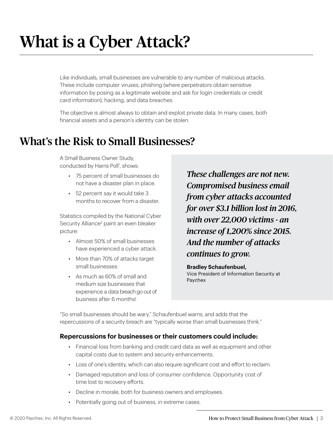## What is a Cyber Attack?

Like individuals, small businesses are vulnerable to any number of malicious attacks. These include computer viruses, phishing (where perpetrators obtain sensitive information by posing as a legitimate website and ask for login credentials or credit card information), hacking, and data breaches.

The objective is almost always to obtain and exploit private data. In many cases, both financial assets and a person's identity can be stolen.

### What's the Risk to Small Businesses?

A Small Business Owner Study, conducted by Harris Poll<sup>1</sup>, shows:

- *•* 75 percent of small businesses do not have a disaster plan in place.
- *•* 52 percent say it would take 3 months to recover from a disaster.

Statistics compiled by the National Cyber Security Alliance<sup>2</sup> paint an even bleaker picture:

- *•* Almost 50% of small businesses have experienced a cyber attack.
- *•* More than 70% of attacks target small businesses.
- *•* As much as 60% of small and medium size businesses that experience a data breach go out of business after 6 months!

*These challenges are not new. Compromised business email from cyber attacks accounted for over \$3.1 billion lost in 2016, with over 22,000 victims - an increase of 1,200% since 2015. And the number of attacks continues to grow.*

**Bradley Schaufenbuel,** Vice President of Information Security at Paychex

"So small businesses should be wary," Schaufenbuel warns, and adds that the repercussions of a security breach are "typically worse than small businesses think."

#### **Repercussions for businesses or their customers could include:**

- *•* Financial loss from banking and credit card data as well as equipment and other capital costs due to system and security enhancements.
- *•* Loss of one's identity, which can also require significant cost and effort to reclaim.
- *•* Damaged reputation and loss of consumer confidence. Opportunity cost of time lost to recovery efforts.
- *•* Decline in morale, both for business owners and employees.
- *•* Potentially going out of business, in extreme cases.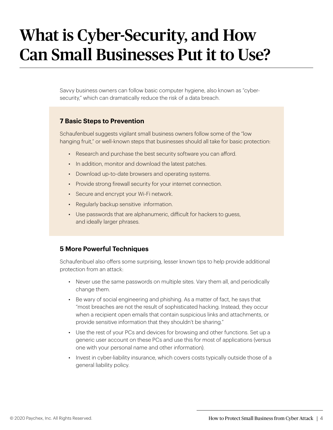## What is Cyber-Security, and How Can Small Businesses Put it to Use?

Savvy business owners can follow basic computer hygiene, also known as "cybersecurity," which can dramatically reduce the risk of a data breach.

#### **7 Basic Steps to Prevention**

Schaufenbuel suggests vigilant small business owners follow some of the "low hanging fruit," or well-known steps that businesses should all take for basic protection:

- *•* Research and purchase the best security software you can afford.
- *•* In addition, monitor and download the latest patches.
- *•* Download up-to-date browsers and operating systems.
- *•* Provide strong firewall security for your internet connection.
- *•* Secure and encrypt your Wi-Fi network.
- *•* Regularly backup sensitive information.
- *•* Use passwords that are alphanumeric, difficult for hackers to guess, and ideally larger phrases.

#### **5 More Powerful Techniques**

Schaufenbuel also offers some surprising, lesser known tips to help provide additional protection from an attack:

- *•* Never use the same passwords on multiple sites. Vary them all, and periodically change them.
- *•* Be wary of social engineering and phishing. As a matter of fact, he says that "most breaches are not the result of sophisticated hacking. Instead, they occur when a recipient open emails that contain suspicious links and attachments, or provide sensitive information that they shouldn't be sharing."
- *•* Use the rest of your PCs and devices for browsing and other functions. Set up a generic user account on these PCs and use this for most of applications (versus one with your personal name and other information).
- *•* Invest in cyber-liability insurance, which covers costs typically outside those of a general liability policy.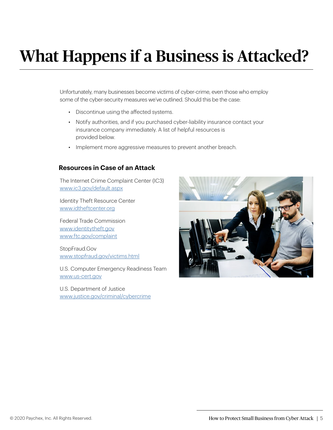# What Happens if a Business is Attacked?

Unfortunately, many businesses become victims of cyber-crime, even those who employ some of the cyber-security measures we've outlined. Should this be the case:

- *•* Discontinue using the affected systems.
- *•* Notify authorities, and if you purchased cyber-liability insurance contact your insurance company immediately. A list of helpful resources is provided below.
- *•* Implement more aggressive measures to prevent another breach.

#### **Resources in Case of an Attack**

The Internet Crime Complaint Center (IC3) [www.ic3.gov/default.aspx](http://www.ic3.gov/default.aspx)

Identity Theft Resource Center [www.idtheftcenter.org](http://www.idtheftcenter.org)

Federal Trade Commission [www.identitytheft.gov](http://www.identitytheft.gov) [www.ftc.gov/complaint](http://www.ftc.gov/complaint)

StopFraud.Gov [www.stopfraud.gov/victims.html](http://www.stopfraud.gov/victims.html)

U.S. Computer Emergency Readiness Team [www.us-cert.gov](http://www.us-cert.gov)

U.S. Department of Justice [www.justice.gov/criminal/cybercrime](http://www.justice.gov/criminal/cybercrime)

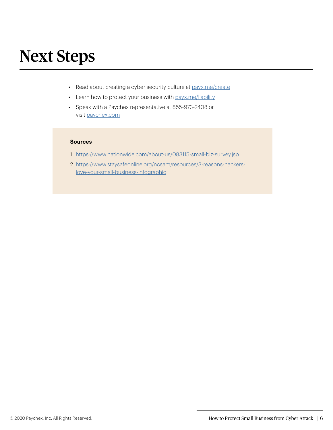## Next Steps

- *•* Read about creating a cyber security culture at [payx.me/create](https://www.paychex.com/articles/human-resources/creating-cyber-security-culture?utm_source=cyber%20security%20whitepaper&utm_medium=whitepaper&utm_content=cyber%20security)
- *•* Learn how to protect your business with [payx.me/liability](https://www.paychex.com/articles/human-resources/cyber-liability-insurance-why-your-business-needs-it?utm_source=cyber%20security%20whitepaper&utm_medium=whitepaper&utm_content=cyber%20security)
- *•* Speak with a Paychex representative at 855-973-2408 or visit [paychex.com](https://www.paychex.com)

#### **Sources**

- 1. <https://www.nationwide.com/about-us/083115-small-biz-survey.jsp>
- 2. [https://www.staysafeonline.org/ncsam/resources/3-reasons-hackers](https://www.staysafeonline.org/ncsam/resources/3-reasons-hackers-love-your-small-business-infographic)[love-your-small-business-infographic](https://www.staysafeonline.org/ncsam/resources/3-reasons-hackers-love-your-small-business-infographic)